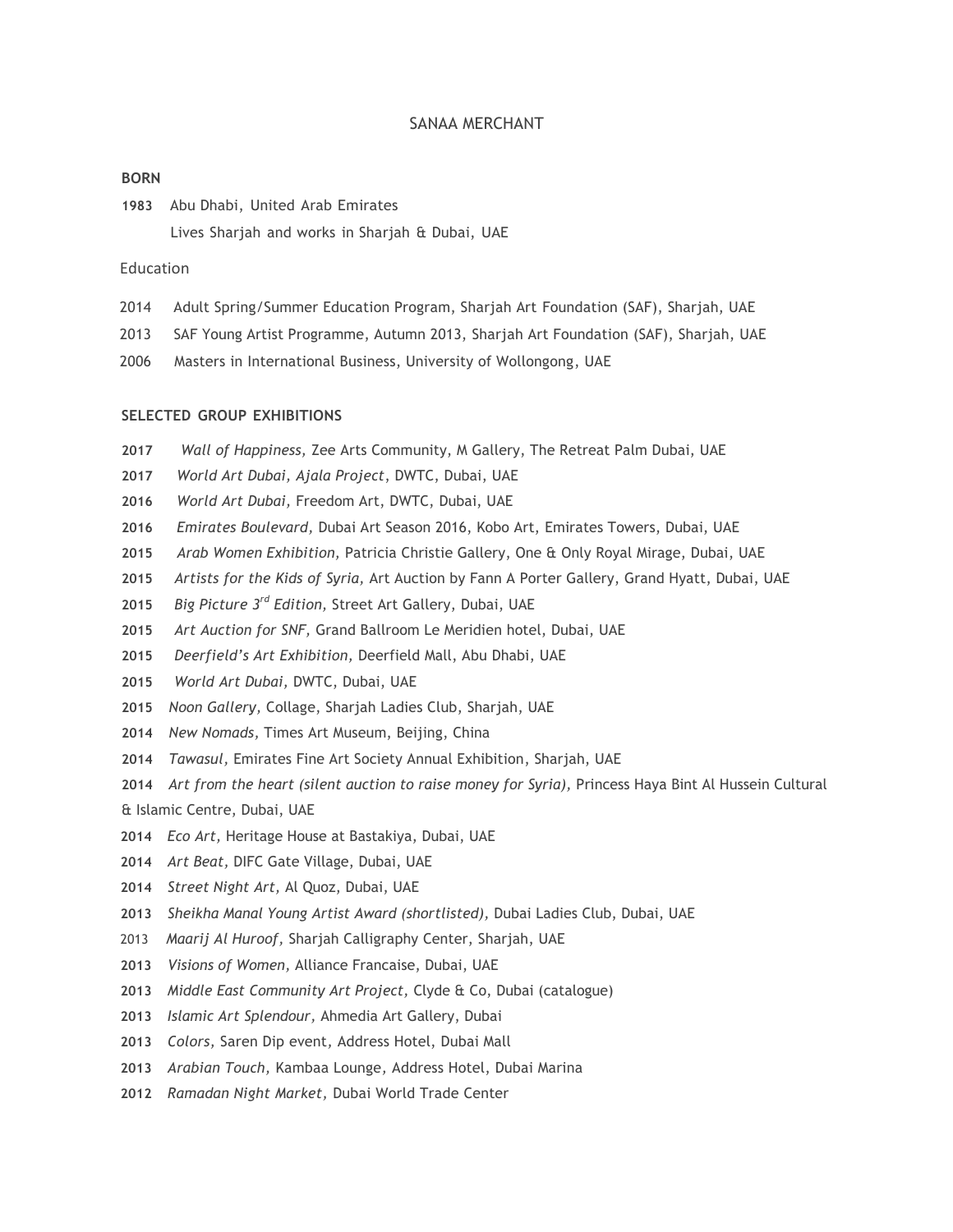## SANAA MERCHANT

#### **BORN**

Abu Dhabi, United Arab Emirates Lives Sharjah and works in Sharjah & Dubai, UAE

# Education

- 2014 Adult Spring/Summer Education Program, Sharjah Art Foundation (SAF), Sharjah, UAE
- 2013 SAF Young Artist Programme, Autumn 2013, Sharjah Art Foundation (SAF), Sharjah, UAE
- 2006 Masters in International Business, University of Wollongong, UAE

## **SELECTED GROUP EXHIBITIONS**

- *Wall of Happiness,* Zee Arts Community, M Gallery, The Retreat Palm Dubai, UAE
- *World Art Dubai, Ajala Project*, DWTC, Dubai, UAE
- *World Art Dubai,* Freedom Art, DWTC, Dubai, UAE
- *Emirates Boulevard,* Dubai Art Season 2016, Kobo Art, Emirates Towers, Dubai, UAE
- *Arab Women Exhibition,* Patricia Christie Gallery, One & Only Royal Mirage, Dubai, UAE
- *Artists for the Kids of Syria,* Art Auction by Fann A Porter Gallery, Grand Hyatt, Dubai, UAE
- *Big Picture 3rd Edition,* Street Art Gallery, Dubai, UAE
- *Art Auction for SNF,* Grand Ballroom Le Meridien hotel, Dubai, UAE
- *Deerfield's Art Exhibition,* Deerfield Mall, Abu Dhabi, UAE
- *World Art Dubai,* DWTC, Dubai, UAE
- *Noon Gallery,* Collage, Sharjah Ladies Club, Sharjah, UAE
- *New Nomads,* Times Art Museum, Beijing, China
- *Tawasul,* Emirates Fine Art Society Annual Exhibition, Sharjah, UAE
- *Art from the heart (silent auction to raise money for Syria),* Princess Haya Bint Al Hussein Cultural

& Islamic Centre, Dubai, UAE

- *Eco Art,* Heritage House at Bastakiya, Dubai, UAE
- *Art Beat,* DIFC Gate Village, Dubai, UAE
- *Street Night Art,* Al Quoz, Dubai, UAE
- *Sheikha Manal Young Artist Award (shortlisted),* Dubai Ladies Club, Dubai, UAE
- *Maarij Al Huroof,* Sharjah Calligraphy Center, Sharjah, UAE
- *Visions of Women,* Alliance Francaise, Dubai, UAE
- *Middle East Community Art Project,* Clyde & Co, Dubai (catalogue)
- *Islamic Art Splendour,* Ahmedia Art Gallery, Dubai
- *Colors,* Saren Dip event*,* Address Hotel, Dubai Mall
- *Arabian Touch,* Kambaa Lounge*,* Address Hotel, Dubai Marina
- *Ramadan Night Market,* Dubai World Trade Center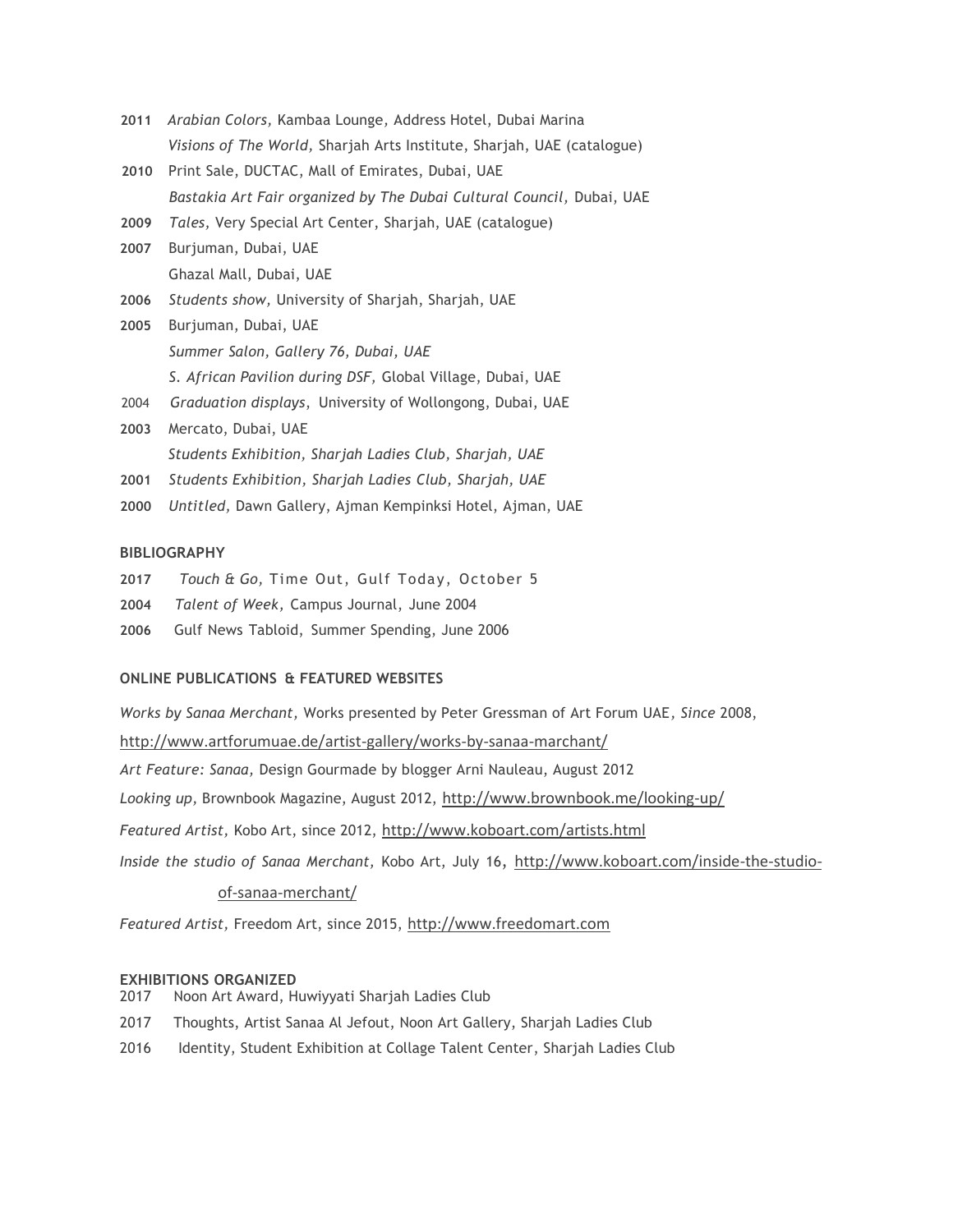- **2011** *Arabian Colors,* Kambaa Lounge*,* Address Hotel, Dubai Marina *Visions of The World,* Sharjah Arts Institute, Sharjah, UAE (catalogue)
- **2010** Print Sale, DUCTAC, Mall of Emirates, Dubai, UAE *Bastakia Art Fair organized by The Dubai Cultural Council,* Dubai, UAE
- **2009** *Tales,* Very Special Art Center, Sharjah, UAE (catalogue)
- **2007** Burjuman, Dubai, UAE Ghazal Mall, Dubai, UAE
- **2006** *Students show,* University of Sharjah, Sharjah, UAE
- **2005** Burjuman, Dubai, UAE *Summer Salon, Gallery 76, Dubai, UAE S. African Pavilion during DSF,* Global Village, Dubai, UAE 2004 *Graduation displays*, University of Wollongong, Dubai, UAE
- **2003** Mercato, Dubai, UAE *Students Exhibition, Sharjah Ladies Club, Sharjah, UAE*
- **2001** *Students Exhibition, Sharjah Ladies Club, Sharjah, UAE*
- **2000** *Untitled,* Dawn Gallery, Ajman Kempinksi Hotel, Ajman, UAE

# **BIBLIOGRAPHY**

- **2017** *Touch & Go,* Time Out, Gulf Today, October 5
- **2004** *Talent of Week,* Campus Journal, June 2004
- **2006** Gulf News Tabloid, Summer Spending, June 2006

# **ONLINE PUBLICATIONS & FEATURED WEBSITES**

*Works by Sanaa Merchant,* Works presented by Peter Gressman of Art Forum UAE*, Since* 2008, <http://www.artforumuae.de/artist-gallery/works-by-sanaa-marchant/> *Art Feature: Sanaa,* Design Gourmade by blogger Arni Nauleau, August 2012 *Looking up,* Brownbook Magazine, August 2012, <http://www.brownbook.me/looking-up/> *Featured Artist,* Kobo Art, since 2012, <http://www.koboart.com/artists.html> *Inside the studio of Sanaa Merchant,* Kobo Art, July 16, [http://www.koboart.com/inside-the-studio-](http://www.koboart.com/inside-the-studio-of-sanaa-merchant/)

# [of-sanaa-merchant/](http://www.koboart.com/inside-the-studio-of-sanaa-merchant/)

*Featured Artist,* Freedom Art, since 2015, [http://www.freedomart.com](http://www.freedomart.com/)

# **EXHIBITIONS ORGANIZED**

- 2017 Noon Art Award, Huwiyyati Sharjah Ladies Club
- 2017 Thoughts, Artist Sanaa Al Jefout, Noon Art Gallery, Sharjah Ladies Club
- 2016 Identity, Student Exhibition at Collage Talent Center, Sharjah Ladies Club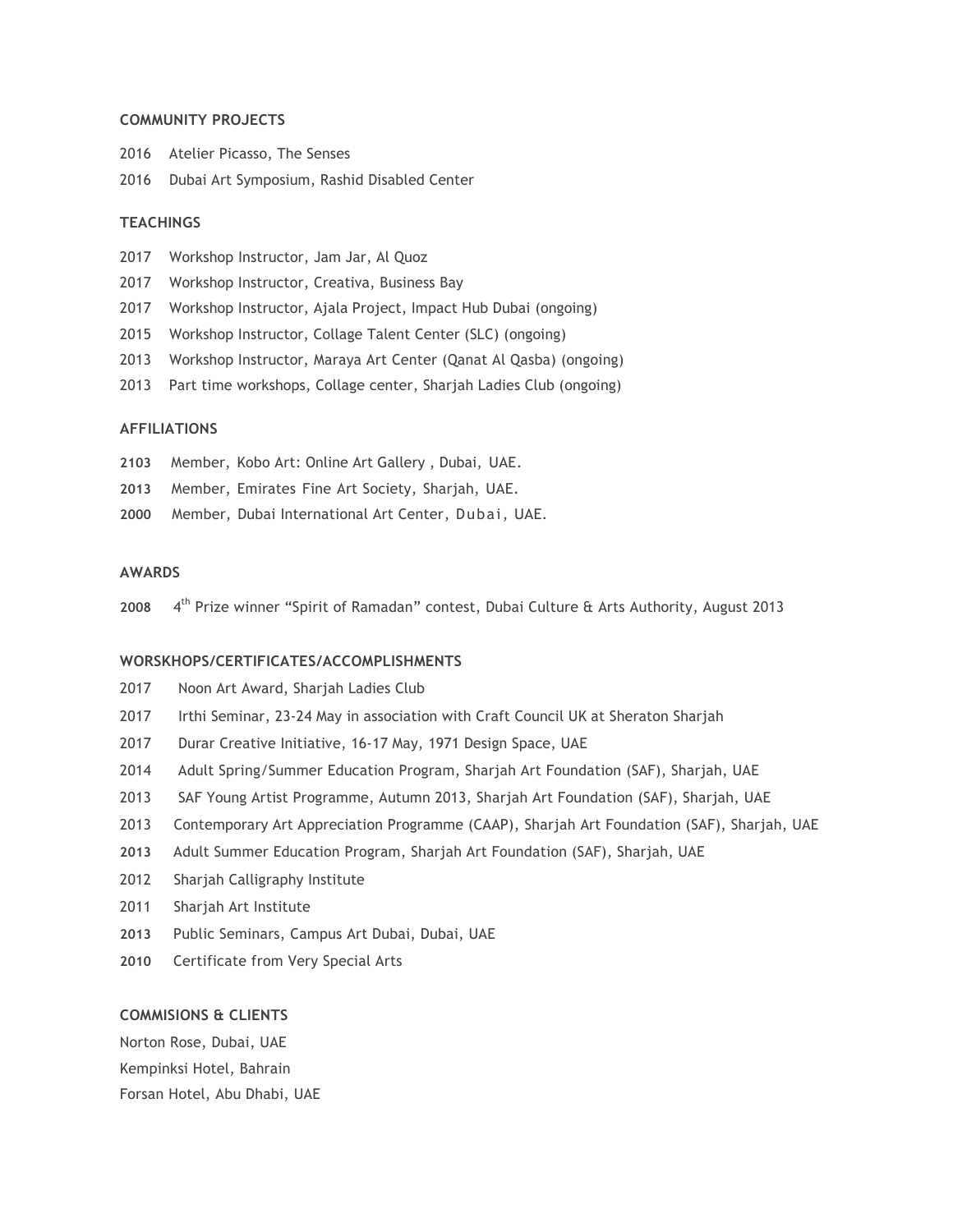## **COMMUNITY PROJECTS**

|      | 2016 Atelier Picasso, The Senses            |
|------|---------------------------------------------|
| 2016 | Dubai Art Symposium, Rashid Disabled Center |

#### **TEACHINGS**

- 2017 Workshop Instructor, Jam Jar, Al Quoz
- 2017 Workshop Instructor, Creativa, Business Bay
- 2017 Workshop Instructor, Ajala Project, Impact Hub Dubai (ongoing)
- 2015 Workshop Instructor, Collage Talent Center (SLC) (ongoing)
- 2013 Workshop Instructor, Maraya Art Center (Qanat Al Qasba) (ongoing)
- 2013 Part time workshops, Collage center, Sharjah Ladies Club (ongoing)

### **AFFILIATIONS**

- **2103** Member, Kobo Art: Online Art Gallery , Dubai, UAE.
- **2013** Member, Emirates Fine Art Society, Sharjah, UAE.
- **2000** Member, Dubai International Art Center, Dubai, UAE.

## **AWARDS**

**2008** 4  $4<sup>th</sup>$  Prize winner "Spirit of Ramadan" contest, Dubai Culture & Arts Authority, August 2013

#### **WORSKHOPS/CERTIFICATES/ACCOMPLISHMENTS**

- 2017 Noon Art Award, Sharjah Ladies Club
- 2017 Irthi Seminar, 23-24 May in association with Craft Council UK at Sheraton Sharjah
- 2017 Durar Creative Initiative, 16-17 May, 1971 Design Space, UAE
- 2014 Adult Spring/Summer Education Program, Sharjah Art Foundation (SAF), Sharjah, UAE
- 2013 SAF Young Artist Programme, Autumn 2013, Sharjah Art Foundation (SAF), Sharjah, UAE
- 2013 Contemporary Art Appreciation Programme (CAAP), Sharjah Art Foundation (SAF), Sharjah, UAE
- **2013** Adult Summer Education Program, Sharjah Art Foundation (SAF), Sharjah, UAE
- 2012 Sharjah Calligraphy Institute
- 2011 Sharjah Art Institute
- **2013** Public Seminars, Campus Art Dubai, Dubai, UAE
- **2010** Certificate from Very Special Arts

#### **COMMISIONS & CLIENTS**

Norton Rose, Dubai, UAE Kempinksi Hotel, Bahrain Forsan Hotel, Abu Dhabi, UAE